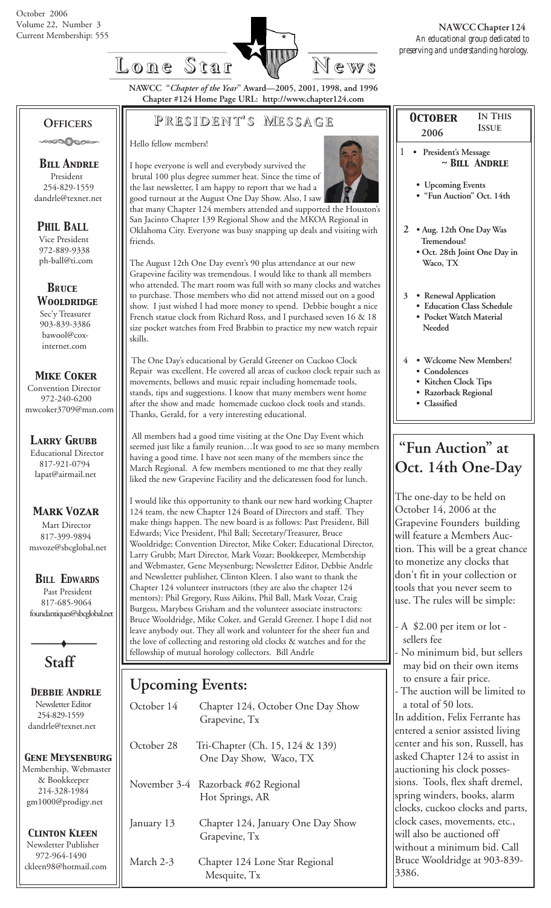

**IN THIS**

**NAWCC "***Chapter of the Year***" Award—2005, 2001, 1998, and 1996 Chapter #124 Home Page URL: http://www.chapter124.com**

**Lone Star Lone Star News**

**P RESIDENT RESIDENT' S M ESSAGE**

Hello fellow members!

friends.



 brutal 100 plus degree summer heat. Since the time of the last newsletter, I am happy to report that we had a good turnout at the August One Day Show. Also, I saw that many Chapter 124 members attended and supported the Houston's San Jacinto Chapter 139 Regional Show and the MKOA Regional in Oklahoma City. Everyone was busy snapping up deals and visiting with

I hope everyone is well and everybody survived the

The August 12th One Day event's 90 plus attendance at our new Grapevine facility was tremendous. I would like to thank all members who attended. The mart room was full with so many clocks and watches to purchase. Those members who did not attend missed out on a good show. I just wished I had more money to spend. Debbie bought a nice French statue clock from Richard Ross, and I purchased seven 16 & 18 size pocket watches from Fred Brabbin to practice my new watch repair skills.

The One Day's educational by Gerald Greener on Cuckoo Clock Repair was excellent. He covered all areas of cuckoo clock repair such as movements, bellows and music repair including homemade tools, stands, tips and suggestions. I know that many members went home after the show and made homemade cuckoo clock tools and stands. Thanks, Gerald, for a very interesting educational.

 All members had a good time visiting at the One Day Event which seemed just like a family reunion…It was good to see so many members having a good time. I have not seen many of the members since the March Regional. A few members mentioned to me that they really liked the new Grapevine Facility and the delicatessen food for lunch.

I would like this opportunity to thank our new hard working Chapter 124 team, the new Chapter 124 Board of Directors and staff. They make things happen. The new board is as follows: Past President, Bill Edwards; Vice President, Phil Ball; Secretary/Treasurer, Bruce Wooldridge; Convention Director, Mike Coker; Educational Director, Larry Grubb; Mart Director, Mark Vozar; Bookkeeper, Membership and Webmaster, Gene Meysenburg; Newsletter Editor, Debbie Andrle and Newsletter publisher, Clinton Kleen. I also want to thank the Chapter 124 volunteer instructors (they are also the chapter 124 mentors): Phil Gregory, Russ Aikins, Phil Ball, Mark Vozar, Craig Burgess, Marybess Grisham and the volunteer associate instructors: Bruce Wooldridge, Mike Coker, and Gerald Greener. I hope I did not leave anybody out. They all work and volunteer for the sheer fun and the love of collecting and restoring old clocks & watches and for the fellowship of mutual horology collectors. Bill Andrle

## **Upcoming Events:**

| October 14 | Chapter 124, October One Day Show<br>Grapevine, Tx        |
|------------|-----------------------------------------------------------|
| October 28 | Tri-Chapter (Ch. 15, 124 & 139)<br>One Day Show, Waco, TX |
|            | November 3-4 Razorback #62 Regional<br>Hot Springs, AR    |
| January 13 | Chapter 124, January One Day Show<br>Grapevine, Tx        |
| March 2-3  | Chapter 124 Lone Star Regional<br>Mesquite, Tx            |

| <b>OCTOBER</b>               | <b>IN THIS</b>                                                                 |
|------------------------------|--------------------------------------------------------------------------------|
| 2006                         | <b>ISSUE</b>                                                                   |
| 1                            | President's Message<br>$\sim$ BILL ANDRLE                                      |
| • Upcoming Events            | · "Fun Auction" Oct. 14th                                                      |
| 2<br>Tremendous!<br>Waco, TX | · Aug. 12th One Day Was<br>• Oct. 28th Joint One Day in                        |
| 3 <sup>1</sup><br>Needed     | • Renewal Application<br>· Education Class Schedule<br>• Pocket Watch Material |
| 4<br>• Condolences           | • Wclcome New Members!<br>• Kitchen Clock Tips<br>• Razorback Regional         |

# **"Fun Auction" at Oct. 14th One-Day**

 **• Classified**

The one-day to be held on October 14, 2006 at the Grapevine Founders building will feature a Members Auction. This will be a great chance to monetize any clocks that don't fit in your collection or tools that you never seem to use. The rules will be simple:

- A \$2.00 per item or lot sellers fee

No minimum bid, but sellers may bid on their own items to ensure a fair price.

The auction will be limited to a total of 50 lots.

In addition, Felix Ferrante has entered a senior assisted living center and his son, Russell, has asked Chapter 124 to assist in auctioning his clock possessions. Tools, flex shaft dremel, spring winders, books, alarm clocks, cuckoo clocks and parts, clock cases, movements, etc., will also be auctioned off without a minimum bid. Call Bruce Wooldridge at 903-839- 3386.

 **OFFICERS COOOOOOO** 

 *Bill Andrle* President 254-829-1559 dandrle@texnet.net

## *PHIL BALL*

 Vice President 972-889-9338 ph-ball@ti.com

 *BRuce Wooldridge* Sec'y Treasurer

 903-839-3386 bawool@cox internet.com

#### *Mike Coker*

 Convention Director 972-240-6200 mwcoker3709@msn.com

#### *Larry Grubb*

Educational Director 817-921-0794 lapat@airmail.net

### *Mark Vozar*

Mart Director 817-399-9894 msvoze@sbcglobal.net

### *BILL EDWARDS*

 Past President 817-685-9064 foundantiques@sbcglobal.net

**Staff**

 *Debbie Andrle* Newsletter Editor 254-829-1559 dandrle@texnet.net

#### *Gene Meysenburg* Membership, Webmaster & Bookkeeper 214-328-1984 gm1000@prodigy.net

 *Clinton Kleen* Newsletter Publisher 972-964-1490 ckleen98@hotmail.com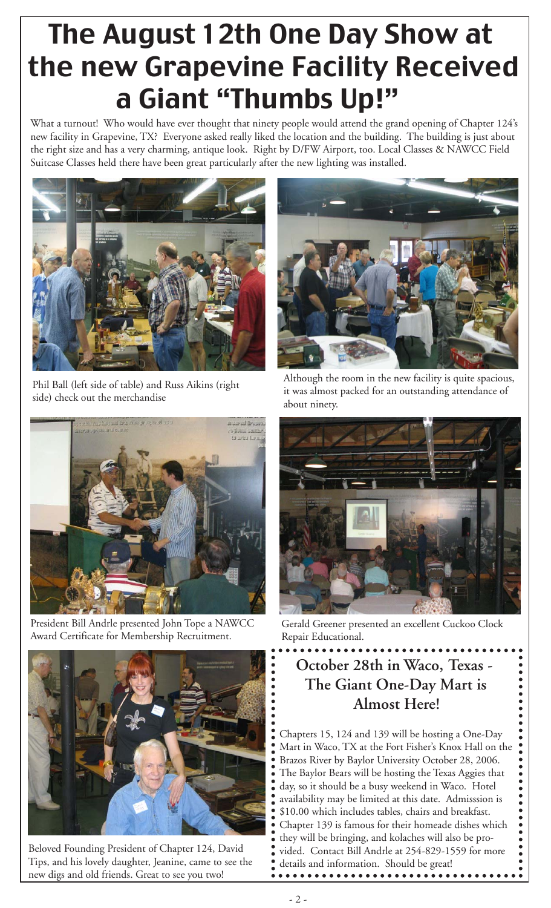# The August 12th One Day Show at the new Grapevine Facility Received a Giant "Thumbs Up!"

What a turnout! Who would have ever thought that ninety people would attend the grand opening of Chapter 124's new facility in Grapevine, TX? Everyone asked really liked the location and the building. The building is just about the right size and has a very charming, antique look. Right by D/FW Airport, too. Local Classes & NAWCC Field Suitcase Classes held there have been great particularly after the new lighting was installed.



Phil Ball (left side of table) and Russ Aikins (right side) check out the merchandise



Although the room in the new facility is quite spacious, it was almost packed for an outstanding attendance of about ninety.



President Bill Andrle presented John Tope a NAWCC Award Certificate for Membership Recruitment.



Beloved Founding President of Chapter 124, David Tips, and his lovely daughter, Jeanine, came to see the new digs and old friends. Great to see you two!



Gerald Greener presented an excellent Cuckoo Clock Repair Educational.

# **October 28th in Waco, Texas - The Giant One-Day Mart is Almost Here!**

Chapters 15, 124 and 139 will be hosting a One-Day Mart in Waco, TX at the Fort Fisher's Knox Hall on the Brazos River by Baylor University October 28, 2006. The Baylor Bears will be hosting the Texas Aggies that day, so it should be a busy weekend in Waco. Hotel availability may be limited at this date. Admisssion is \$10.00 which includes tables, chairs and breakfast. Chapter 139 is famous for their homeade dishes which they will be bringing, and kolaches will also be provided. Contact Bill Andrle at 254-829-1559 for more details and information. Should be great!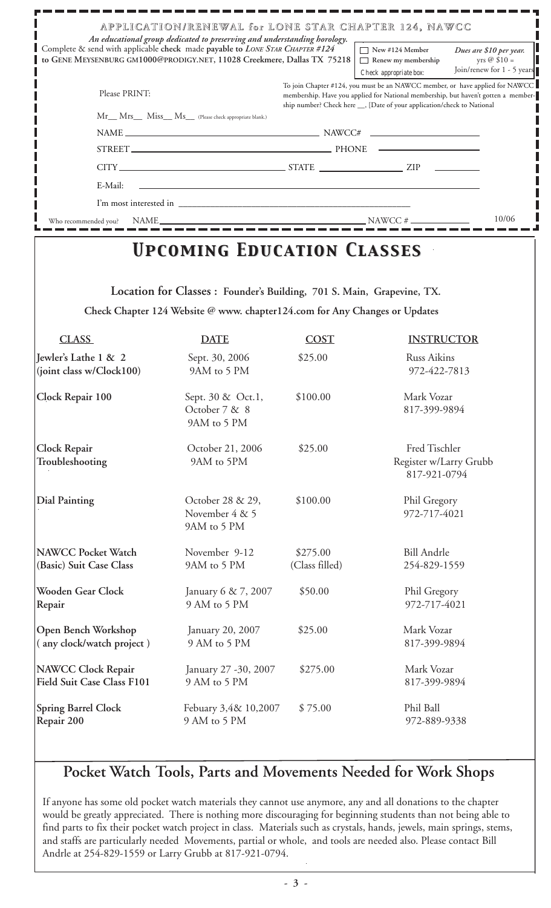| Complete & send with applicable check made payable to LONE STAR CHAPTER #124 | An educational group dedicated to preserving and understanding horology.   |                                                                                                                                                                                                                                               | APPLICATION/RENEWAL for LONE STAR CHAPTER 124, NAWCC<br>$\sqrt{ }$ New #124 Member<br>Dues are \$10 per year. |  |  |
|------------------------------------------------------------------------------|----------------------------------------------------------------------------|-----------------------------------------------------------------------------------------------------------------------------------------------------------------------------------------------------------------------------------------------|---------------------------------------------------------------------------------------------------------------|--|--|
| GENE MEYSENBURG GM1000@PRODIGY.NET, 11028 Creekmere, Dallas TX 75218         |                                                                            |                                                                                                                                                                                                                                               | yrs @ $$10 =$<br>$\Box$ Renew my membership<br>Join/renew for 1 - 5 years<br>Check appropriate box:           |  |  |
| Please PRINT:                                                                |                                                                            | To join Chapter #124, you must be an NAWCC member, or have applied for NAWCC<br>membership. Have you applied for National membership, but haven't gotten a member-<br>ship number? Check here __, [Date of your application/check to National |                                                                                                               |  |  |
|                                                                              | Mr__ Mrs___ Miss__ Ms__ (Please check appropriate blank.)                  |                                                                                                                                                                                                                                               |                                                                                                               |  |  |
|                                                                              |                                                                            |                                                                                                                                                                                                                                               | $NAME$ $NAME$ $NAWCC#$                                                                                        |  |  |
|                                                                              |                                                                            |                                                                                                                                                                                                                                               | STREET PHONE                                                                                                  |  |  |
|                                                                              |                                                                            |                                                                                                                                                                                                                                               |                                                                                                               |  |  |
| E-Mail:                                                                      |                                                                            |                                                                                                                                                                                                                                               |                                                                                                               |  |  |
|                                                                              |                                                                            |                                                                                                                                                                                                                                               |                                                                                                               |  |  |
| Who recommended you?                                                         |                                                                            |                                                                                                                                                                                                                                               | 10/06                                                                                                         |  |  |
|                                                                              | <b>UPCOMING EDUCATION CLASSES</b>                                          |                                                                                                                                                                                                                                               |                                                                                                               |  |  |
|                                                                              | Check Chapter 124 Website @ www. chapter124.com for Any Changes or Updates |                                                                                                                                                                                                                                               |                                                                                                               |  |  |
| <b>CLASS</b>                                                                 | <b>DATE</b>                                                                | <b>COST</b>                                                                                                                                                                                                                                   | <b>INSTRUCTOR</b>                                                                                             |  |  |
| Jewler's Lathe 1 & 2<br>$\left  \right $ (joint class w/Clock100)            | Sept. 30, 2006<br>9AM to 5 PM                                              | \$25.00                                                                                                                                                                                                                                       | <b>Russ Aikins</b><br>972-422-7813                                                                            |  |  |
| Clock Repair 100                                                             | Sept. 30 & Oct.1,<br>October 7 & 8<br>9AM to 5 PM                          | \$100.00                                                                                                                                                                                                                                      | Mark Vozar<br>817-399-9894                                                                                    |  |  |
| Clock Repair<br>Troubleshooting                                              | October 21, 2006<br>9AM to 5PM                                             | \$25.00                                                                                                                                                                                                                                       | Fred Tischler<br>Register w/Larry Grubb<br>817-921-0794                                                       |  |  |
| <b>Dial Painting</b>                                                         | October 28 & 29,<br>November 4 & 5<br>9AM to 5 PM                          | \$100.00                                                                                                                                                                                                                                      | Phil Gregory<br>972-717-4021                                                                                  |  |  |
| <b>NAWCC Pocket Watch</b><br>(Basic) Suit Case Class                         | November 9-12<br>9AM to 5 PM                                               | \$275.00<br>(Class filled)                                                                                                                                                                                                                    | <b>Bill Andrle</b><br>254-829-1559                                                                            |  |  |
| <b>Wooden Gear Clock</b><br>Repair                                           | January 6 & 7, 2007<br>9 AM to 5 PM                                        | \$50.00                                                                                                                                                                                                                                       | Phil Gregory<br>972-717-4021                                                                                  |  |  |
| Open Bench Workshop<br>(any clock/watch project)                             | January 20, 2007<br>9 AM to 5 PM                                           | \$25.00                                                                                                                                                                                                                                       | Mark Vozar<br>817-399-9894                                                                                    |  |  |

**NAWCC Clock Repair** January 27 -30, 2007 \$275.00 Mark Vozar **Field Suit Case Class F101** 9 AM to 5 PM 817-399-9894

**Spring Barrel Clock** Febuary 3,4& 10,2007 \$ 75.00 Phil Ball **Repair 200** 9 AM to 5 PM 972-889-9338

## **Pocket Watch Tools, Parts and Movements Needed for Work Shops**

If anyone has some old pocket watch materials they cannot use anymore, any and all donations to the chapter would be greatly appreciated. There is nothing more discouraging for beginning students than not being able to find parts to fix their pocket watch project in class. Materials such as crystals, hands, jewels, main springs, stems, and staffs are particularly needed Movements, partial or whole, and tools are needed also. Please contact Bill Andrle at 254-829-1559 or Larry Grubb at 817-921-0794.